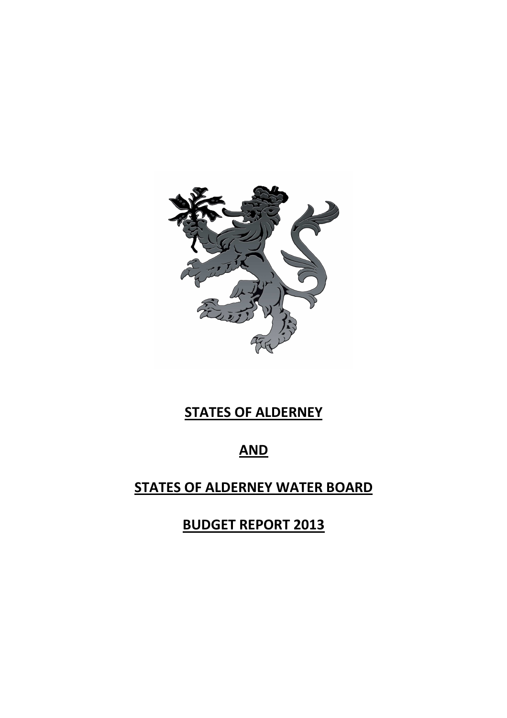

# **STATES OF ALDERNEY**

# **AND**

# **STATES OF ALDERNEY WATER BOARD**

**BUDGET REPORT 2013**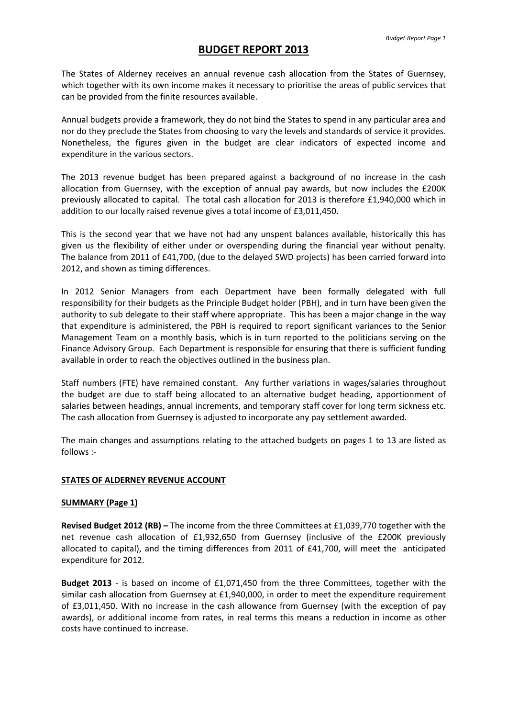## **BUDGET REPORT 2013**

The States of Alderney receives an annual revenue cash allocation from the States of Guernsey, which together with its own income makes it necessary to prioritise the areas of public services that can be provided from the finite resources available.

Annual budgets provide a framework, they do not bind the States to spend in any particular area and nor do they preclude the States from choosing to vary the levels and standards of service it provides. Nonetheless, the figures given in the budget are clear indicators of expected income and expenditure in the various sectors.

The 2013 revenue budget has been prepared against a background of no increase in the cash allocation from Guernsey, with the exception of annual pay awards, but now includes the £200K previously allocated to capital. The total cash allocation for 2013 is therefore £1,940,000 which in addition to our locally raised revenue gives a total income of £3,011,450.

This is the second year that we have not had any unspent balances available, historically this has given us the flexibility of either under or overspending during the financial year without penalty. The balance from 2011 of £41,700, (due to the delayed SWD projects) has been carried forward into 2012, and shown as timing differences.

In 2012 Senior Managers from each Department have been formally delegated with full responsibility for their budgets as the Principle Budget holder (PBH), and in turn have been given the authority to sub delegate to their staff where appropriate. This has been a major change in the way that expenditure is administered, the PBH is required to report significant variances to the Senior Management Team on a monthly basis, which is in turn reported to the politicians serving on the Finance Advisory Group. Each Department is responsible for ensuring that there is sufficient funding available in order to reach the objectives outlined in the business plan.

Staff numbers (FTE) have remained constant. Any further variations in wages/salaries throughout the budget are due to staff being allocated to an alternative budget heading, apportionment of salaries between headings, annual increments, and temporary staff cover for long term sickness etc. The cash allocation from Guernsey is adjusted to incorporate any pay settlement awarded.

The main changes and assumptions relating to the attached budgets on pages 1 to 13 are listed as follows :-

#### **STATES OF ALDERNEY REVENUE ACCOUNT**

#### **SUMMARY (Page 1)**

**Revised Budget 2012 (RB) –** The income from the three Committees at £1,039,770 together with the net revenue cash allocation of £1,932,650 from Guernsey (inclusive of the £200K previously allocated to capital), and the timing differences from 2011 of £41,700, will meet the anticipated expenditure for 2012.

**Budget 2013** - is based on income of £1,071,450 from the three Committees, together with the similar cash allocation from Guernsey at £1,940,000, in order to meet the expenditure requirement of £3,011,450. With no increase in the cash allowance from Guernsey (with the exception of pay awards), or additional income from rates, in real terms this means a reduction in income as other costs have continued to increase.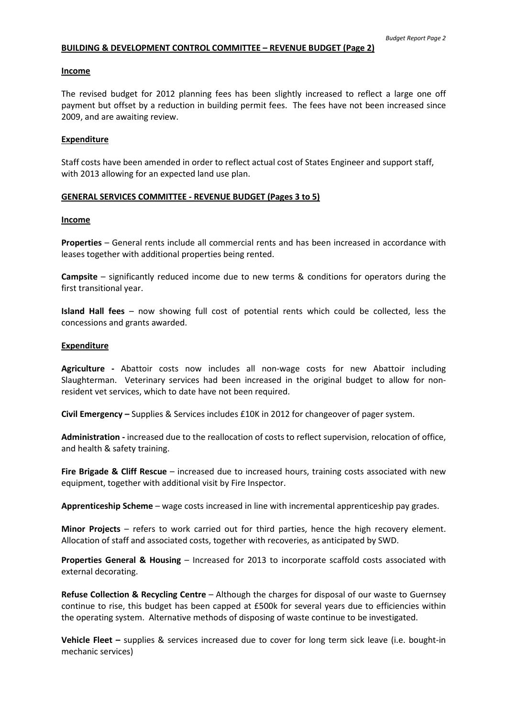#### **BUILDING & DEVELOPMENT CONTROL COMMITTEE – REVENUE BUDGET (Page 2)**

#### **Income**

The revised budget for 2012 planning fees has been slightly increased to reflect a large one off payment but offset by a reduction in building permit fees. The fees have not been increased since 2009, and are awaiting review.

#### **Expenditure**

Staff costs have been amended in order to reflect actual cost of States Engineer and support staff, with 2013 allowing for an expected land use plan.

#### **GENERAL SERVICES COMMITTEE - REVENUE BUDGET (Pages 3 to 5)**

#### **Income**

**Properties** – General rents include all commercial rents and has been increased in accordance with leases together with additional properties being rented.

**Campsite** – significantly reduced income due to new terms & conditions for operators during the first transitional year.

**Island Hall fees** – now showing full cost of potential rents which could be collected, less the concessions and grants awarded.

#### **Expenditure**

**Agriculture -** Abattoir costs now includes all non-wage costs for new Abattoir including Slaughterman.Veterinary services had been increased in the original budget to allow for nonresident vet services, which to date have not been required.

**Civil Emergency –** Supplies & Services includes £10K in 2012 for changeover of pager system.

**Administration -** increased due to the reallocation of costs to reflect supervision, relocation of office, and health & safety training.

**Fire Brigade & Cliff Rescue** – increased due to increased hours, training costs associated with new equipment, together with additional visit by Fire Inspector.

**Apprenticeship Scheme** – wage costs increased in line with incremental apprenticeship pay grades.

**Minor Projects** – refers to work carried out for third parties, hence the high recovery element. Allocation of staff and associated costs, together with recoveries, as anticipated by SWD.

**Properties General & Housing** – Increased for 2013 to incorporate scaffold costs associated with external decorating.

**Refuse Collection & Recycling Centre** – Although the charges for disposal of our waste to Guernsey continue to rise, this budget has been capped at £500k for several years due to efficiencies within the operating system. Alternative methods of disposing of waste continue to be investigated.

**Vehicle Fleet –** supplies & services increased due to cover for long term sick leave (i.e. bought-in mechanic services)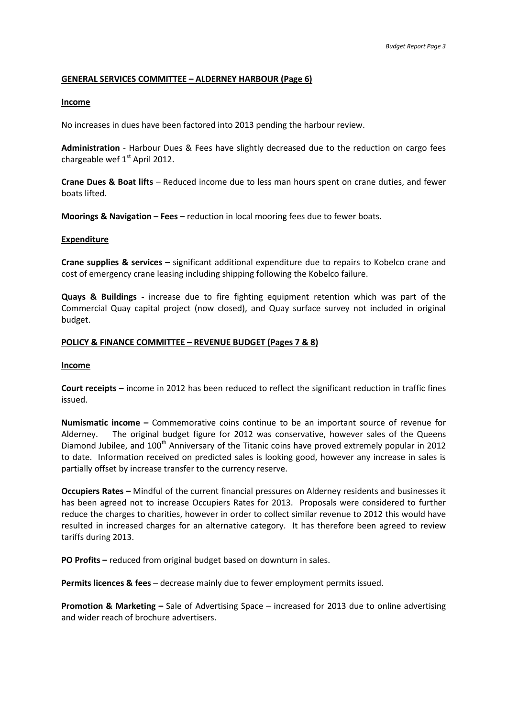#### **GENERAL SERVICES COMMITTEE – ALDERNEY HARBOUR (Page 6)**

#### **Income**

No increases in dues have been factored into 2013 pending the harbour review.

**Administration** - Harbour Dues & Fees have slightly decreased due to the reduction on cargo fees chargeable wef 1<sup>st</sup> April 2012.

**Crane Dues & Boat lifts** – Reduced income due to less man hours spent on crane duties, and fewer boats lifted.

**Moorings & Navigation** – **Fees** – reduction in local mooring fees due to fewer boats.

#### **Expenditure**

**Crane supplies & services** – significant additional expenditure due to repairs to Kobelco crane and cost of emergency crane leasing including shipping following the Kobelco failure.

**Quays & Buildings -** increase due to fire fighting equipment retention which was part of the Commercial Quay capital project (now closed), and Quay surface survey not included in original budget.

#### **POLICY & FINANCE COMMITTEE – REVENUE BUDGET (Pages 7 & 8)**

#### **Income**

**Court receipts** – income in 2012 has been reduced to reflect the significant reduction in traffic fines issued.

**Numismatic income –** Commemorative coins continue to be an important source of revenue for Alderney. The original budget figure for 2012 was conservative, however sales of the Queens Diamond Jubilee, and 100<sup>th</sup> Anniversary of the Titanic coins have proved extremely popular in 2012 to date. Information received on predicted sales is looking good, however any increase in sales is partially offset by increase transfer to the currency reserve.

**Occupiers Rates –** Mindful of the current financial pressures on Alderney residents and businesses it has been agreed not to increase Occupiers Rates for 2013. Proposals were considered to further reduce the charges to charities, however in order to collect similar revenue to 2012 this would have resulted in increased charges for an alternative category. It has therefore been agreed to review tariffs during 2013.

**PO Profits –** reduced from original budget based on downturn in sales.

**Permits licences & fees** – decrease mainly due to fewer employment permits issued.

**Promotion & Marketing –** Sale of Advertising Space – increased for 2013 due to online advertising and wider reach of brochure advertisers.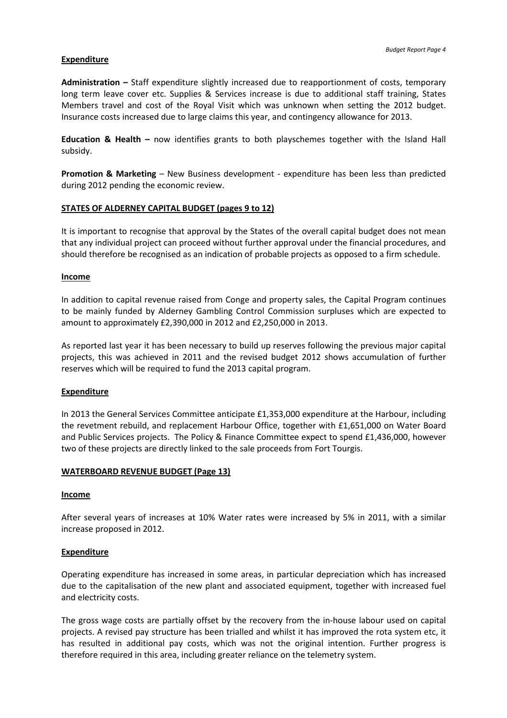#### **Expenditure**

**Administration –** Staff expenditure slightly increased due to reapportionment of costs, temporary long term leave cover etc. Supplies & Services increase is due to additional staff training, States Members travel and cost of the Royal Visit which was unknown when setting the 2012 budget. Insurance costs increased due to large claims this year, and contingency allowance for 2013.

**Education & Health –** now identifies grants to both playschemes together with the Island Hall subsidy.

**Promotion & Marketing** – New Business development - expenditure has been less than predicted during 2012 pending the economic review.

#### **STATES OF ALDERNEY CAPITAL BUDGET (pages 9 to 12)**

It is important to recognise that approval by the States of the overall capital budget does not mean that any individual project can proceed without further approval under the financial procedures, and should therefore be recognised as an indication of probable projects as opposed to a firm schedule.

#### **Income**

In addition to capital revenue raised from Conge and property sales, the Capital Program continues to be mainly funded by Alderney Gambling Control Commission surpluses which are expected to amount to approximately £2,390,000 in 2012 and £2,250,000 in 2013.

As reported last year it has been necessary to build up reserves following the previous major capital projects, this was achieved in 2011 and the revised budget 2012 shows accumulation of further reserves which will be required to fund the 2013 capital program.

#### **Expenditure**

In 2013 the General Services Committee anticipate £1,353,000 expenditure at the Harbour, including the revetment rebuild, and replacement Harbour Office, together with £1,651,000 on Water Board and Public Services projects. The Policy & Finance Committee expect to spend £1,436,000, however two of these projects are directly linked to the sale proceeds from Fort Tourgis.

#### **WATERBOARD REVENUE BUDGET (Page 13)**

#### **Income**

After several years of increases at 10% Water rates were increased by 5% in 2011, with a similar increase proposed in 2012.

#### **Expenditure**

Operating expenditure has increased in some areas, in particular depreciation which has increased due to the capitalisation of the new plant and associated equipment, together with increased fuel and electricity costs.

The gross wage costs are partially offset by the recovery from the in-house labour used on capital projects. A revised pay structure has been trialled and whilst it has improved the rota system etc, it has resulted in additional pay costs, which was not the original intention. Further progress is therefore required in this area, including greater reliance on the telemetry system.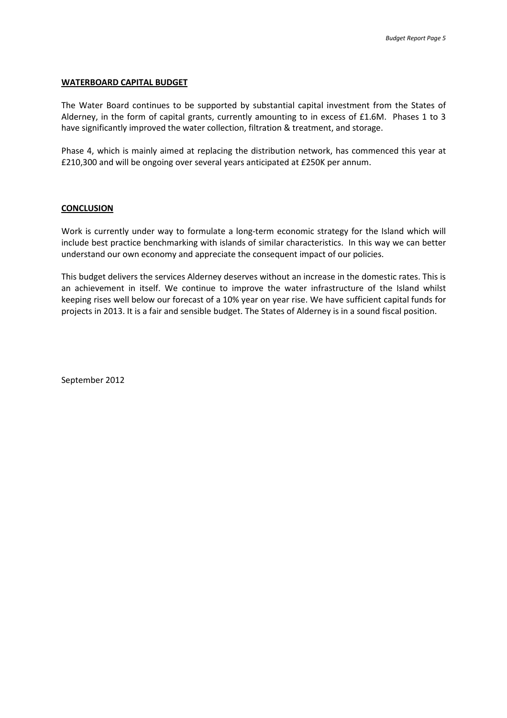#### **WATERBOARD CAPITAL BUDGET**

The Water Board continues to be supported by substantial capital investment from the States of Alderney, in the form of capital grants, currently amounting to in excess of £1.6M. Phases 1 to 3 have significantly improved the water collection, filtration & treatment, and storage.

Phase 4, which is mainly aimed at replacing the distribution network, has commenced this year at £210,300 and will be ongoing over several years anticipated at £250K per annum.

#### **CONCLUSION**

Work is currently under way to formulate a long-term economic strategy for the Island which will include best practice benchmarking with islands of similar characteristics. In this way we can better understand our own economy and appreciate the consequent impact of our policies.

This budget delivers the services Alderney deserves without an increase in the domestic rates. This is an achievement in itself. We continue to improve the water infrastructure of the Island whilst keeping rises well below our forecast of a 10% year on year rise. We have sufficient capital funds for projects in 2013. It is a fair and sensible budget. The States of Alderney is in a sound fiscal position.

September 2012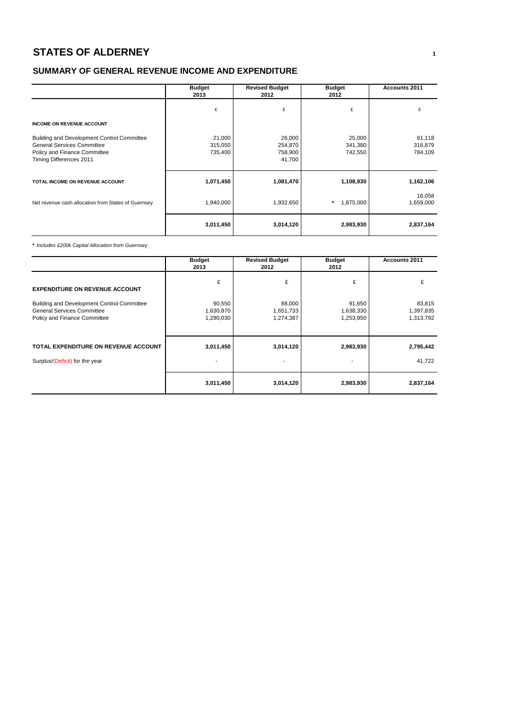# **STATES OF ALDERNEY <sup>1</sup>**

## **SUMMARY OF GENERAL REVENUE INCOME AND EXPENDITURE**

|                                                                                                                                                   | <b>Budget</b><br>2013        | <b>Revised Budget</b><br>2012          | <b>Budget</b><br>2012        | <b>Accounts 2011</b>         |
|---------------------------------------------------------------------------------------------------------------------------------------------------|------------------------------|----------------------------------------|------------------------------|------------------------------|
|                                                                                                                                                   | £                            | £                                      | £                            | £                            |
| <b>INCOME ON REVENUE ACCOUNT</b>                                                                                                                  |                              |                                        |                              |                              |
| <b>Building and Development Control Committee</b><br><b>General Services Committee</b><br>Policy and Finance Committee<br>Timing Differences 2011 | 21,000<br>315,050<br>735,400 | 26,000<br>254,870<br>758,900<br>41,700 | 25,000<br>341,380<br>742,550 | 61,118<br>316,879<br>784,109 |
| TOTAL INCOME ON REVENUE ACCOUNT                                                                                                                   | 1,071,450                    | 1,081,470                              | 1,108,930                    | 1,162,106                    |
| Net revenue cash allocation from States of Guernsey                                                                                               | 1,940,000                    | 1,932,650                              | $\star$<br>1,875,000         | 16,058<br>1,659,000          |
|                                                                                                                                                   | 3,011,450                    | 3,014,120                              | 2,983,930                    | 2,837,164                    |

**\*** Includes £200k Capital Allocation from Guernsey

|                                                                                                                 | <b>Budget</b><br>2013            | <b>Revised Budget</b><br>2012    | <b>Budget</b><br>2012            | <b>Accounts 2011</b>             |
|-----------------------------------------------------------------------------------------------------------------|----------------------------------|----------------------------------|----------------------------------|----------------------------------|
| <b>EXPENDITURE ON REVENUE ACCOUNT</b>                                                                           | £                                | £                                | £                                | £                                |
| Building and Development Control Committee<br><b>General Services Committee</b><br>Policy and Finance Committee | 90,550<br>1,630,870<br>1,290,030 | 88,000<br>1,651,733<br>1,274,387 | 91,650<br>1,638,330<br>1,253,950 | 83,815<br>1,397,835<br>1,313,792 |
| TOTAL EXPENDITURE ON REVENUE ACCOUNT                                                                            | 3,011,450                        | 3,014,120                        | 2,983,930                        | 2,795,442                        |
| Surplus/(Deficit) for the year                                                                                  |                                  | ٠                                |                                  | 41,722                           |
|                                                                                                                 | 3,011,450                        | 3,014,120                        | 2,983,930                        | 2,837,164                        |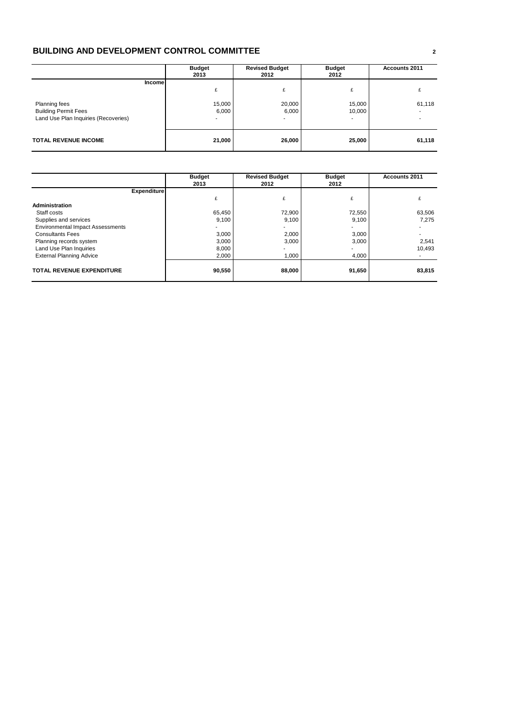## **BUILDING AND DEVELOPMENT CONTROL COMMITTEE <sup>2</sup>**

|                                                                                                 | <b>Budget</b><br>2013 | <b>Revised Budget</b><br>2012 | <b>Budget</b><br>2012 | <b>Accounts 2011</b> |
|-------------------------------------------------------------------------------------------------|-----------------------|-------------------------------|-----------------------|----------------------|
| Incomel<br>Planning fees<br><b>Building Permit Fees</b><br>Land Use Plan Inquiries (Recoveries) | £<br>15,000<br>6,000  | £<br>20,000<br>6,000          | £<br>15,000<br>10,000 | 61,118               |
| <b>TOTAL REVENUE INCOME</b>                                                                     | 21,000                | 26,000                        | 25,000                | 61,118               |

|                                         | <b>Budget</b><br>2013 | <b>Revised Budget</b><br>2012 | <b>Budget</b><br>2012 | <b>Accounts 2011</b> |
|-----------------------------------------|-----------------------|-------------------------------|-----------------------|----------------------|
| <b>Expenditure</b>                      |                       |                               |                       |                      |
|                                         |                       | £                             |                       |                      |
| <b>Administration</b>                   |                       |                               |                       |                      |
| Staff costs                             | 65,450                | 72,900                        | 72,550                | 63,506               |
| Supplies and services                   | 9,100                 | 9,100                         | 9,100                 | 7.275                |
| <b>Environmental Impact Assessments</b> |                       |                               | ۰.                    |                      |
| <b>Consultants Fees</b>                 | 3,000                 | 2,000                         | 3,000                 |                      |
| Planning records system                 | 3.000                 | 3,000                         | 3,000                 | 2,541                |
| Land Use Plan Inquiries                 | 8,000                 | ۰                             | ۰.                    | 10.493               |
| <b>External Planning Advice</b>         | 2,000                 | 1,000                         | 4,000                 |                      |
| <b>TOTAL REVENUE EXPENDITURE</b>        | 90,550                | 88,000                        | 91,650                | 83,815               |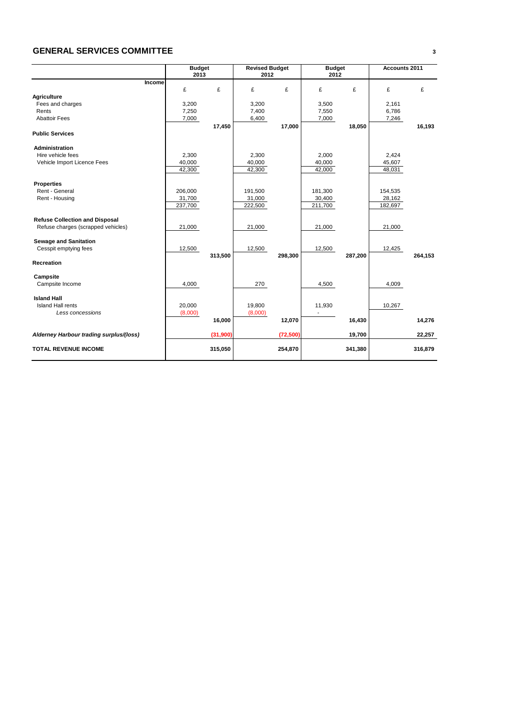### **GENERAL SERVICES COMMITTEE <sup>3</sup>**

|                                         | <b>Budget</b><br>2013 |          | <b>Revised Budget</b><br>2012 |           | <b>Budget</b><br>2012 |         | Accounts 2011 |         |
|-----------------------------------------|-----------------------|----------|-------------------------------|-----------|-----------------------|---------|---------------|---------|
| Income                                  |                       |          |                               |           |                       |         |               |         |
|                                         | £                     | £        | £                             | £         | £                     | £       | £             | £       |
| <b>Agriculture</b>                      |                       |          |                               |           |                       |         |               |         |
| Fees and charges                        | 3,200                 |          | 3,200                         |           | 3,500                 |         | 2,161         |         |
| Rents                                   | 7,250                 |          | 7,400                         |           | 7,550                 |         | 6,786         |         |
| <b>Abattoir Fees</b>                    | 7,000                 |          | 6,400                         |           | 7,000                 |         | 7,246         |         |
|                                         |                       | 17,450   |                               | 17,000    |                       | 18,050  |               | 16,193  |
| <b>Public Services</b>                  |                       |          |                               |           |                       |         |               |         |
| <b>Administration</b>                   |                       |          |                               |           |                       |         |               |         |
| Hire vehicle fees                       | 2,300                 |          | 2,300                         |           | 2,000                 |         | 2,424         |         |
| Vehicle Import Licence Fees             | 40,000                |          | 40,000                        |           | 40,000                |         | 45,607        |         |
|                                         | 42,300                |          | 42,300                        |           | 42,000                |         | 48,031        |         |
| <b>Properties</b>                       |                       |          |                               |           |                       |         |               |         |
| Rent - General                          | 206,000               |          | 191.500                       |           | 181,300               |         | 154,535       |         |
| Rent - Housing                          | 31,700                |          | 31,000                        |           | 30,400                |         | 28,162        |         |
|                                         | 237,700               |          | 222,500                       |           | 211,700               |         | 182,697       |         |
| <b>Refuse Collection and Disposal</b>   |                       |          |                               |           |                       |         |               |         |
| Refuse charges (scrapped vehicles)      | 21,000                |          | 21,000                        |           | 21,000                |         | 21,000        |         |
| <b>Sewage and Sanitation</b>            |                       |          |                               |           |                       |         |               |         |
| Cesspit emptying fees                   | 12,500                |          | 12,500                        |           | 12,500                |         | 12,425        |         |
|                                         |                       | 313,500  |                               | 298,300   |                       | 287,200 |               | 264,153 |
| Recreation                              |                       |          |                               |           |                       |         |               |         |
| Campsite                                |                       |          |                               |           |                       |         |               |         |
| Campsite Income                         | 4,000                 |          | 270                           |           | 4,500                 |         | 4,009         |         |
| <b>Island Hall</b>                      |                       |          |                               |           |                       |         |               |         |
| <b>Island Hall rents</b>                | 20,000                |          | 19,800                        |           | 11,930                |         | 10,267        |         |
| Less concessions                        | (8,000)               |          | (8,000)                       |           | ÷.                    |         |               |         |
|                                         |                       | 16,000   |                               | 12,070    |                       | 16,430  |               | 14,276  |
| Alderney Harbour trading surplus/(loss) |                       | (31,900) |                               | (72, 500) |                       | 19,700  |               | 22,257  |
| <b>TOTAL REVENUE INCOME</b>             |                       | 315,050  |                               | 254,870   |                       | 341,380 |               | 316,879 |
|                                         |                       |          |                               |           |                       |         |               |         |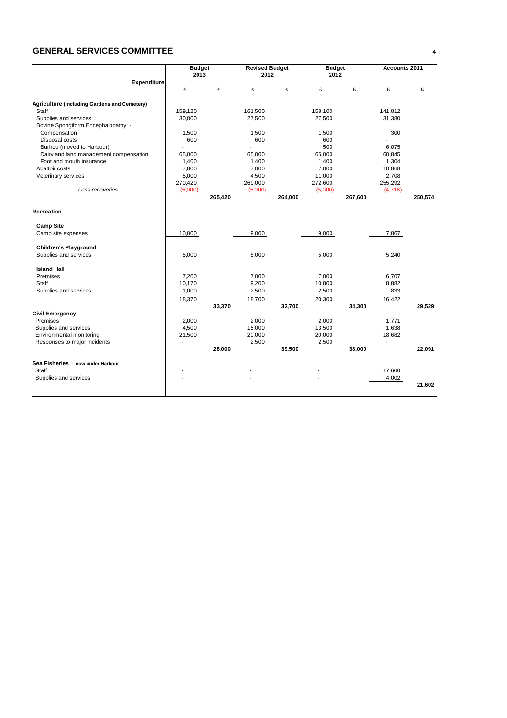### **GENERAL SERVICES COMMITTEE <sup>4</sup>**

|                                              | <b>Budget</b><br>2013 |         | <b>Revised Budget</b><br>2012 |         | <b>Budget</b><br>2012 |         | Accounts 2011 |         |
|----------------------------------------------|-----------------------|---------|-------------------------------|---------|-----------------------|---------|---------------|---------|
| <b>Expenditure</b>                           |                       |         |                               |         |                       |         |               |         |
|                                              | £                     | £       | £                             | £       | £                     | £       | £             | £       |
| Agriculture (including Gardens and Cemetery) |                       |         |                               |         |                       |         |               |         |
| Staff                                        | 159,120               |         | 161,500                       |         | 158,100               |         | 141,812       |         |
| Supplies and services                        | 30,000                |         | 27,500                        |         | 27,500                |         | 31,380        |         |
| Bovine Spongiform Encephalopathy: -          |                       |         |                               |         |                       |         |               |         |
| Compensation                                 | 1,500                 |         | 1,500                         |         | 1,500                 |         | 300           |         |
| Disposal costs                               | 600                   |         | 600                           |         | 600                   |         |               |         |
| Burhou (moved to Harbour)                    |                       |         |                               |         | 500                   |         | 6,075         |         |
| Dairy and land management compensation       | 65,000                |         | 65,000                        |         | 65,000                |         | 60,845        |         |
| Foot and mouth insurance                     | 1,400                 |         | 1,400                         |         | 1,400                 |         | 1,304         |         |
| Abattoir costs                               | 7,800                 |         | 7,000                         |         | 7,000                 |         | 10,868        |         |
| Veterinary services                          | 5,000                 |         | 4,500                         |         | 11,000                |         | 2,708         |         |
|                                              | 270,420               |         | 269,000                       |         | 272,600               |         | 255,292       |         |
| Less recoveries                              | (5,000)               |         | (5,000)                       |         | (5,000)               |         | (4,718)       |         |
|                                              |                       | 265,420 |                               | 264,000 |                       | 267,600 |               | 250,574 |
|                                              |                       |         |                               |         |                       |         |               |         |
| Recreation                                   |                       |         |                               |         |                       |         |               |         |
|                                              |                       |         |                               |         |                       |         |               |         |
| <b>Camp Site</b>                             |                       |         |                               |         |                       |         |               |         |
| Camp site expenses                           | 10,000                |         | 9,000                         |         | 9,000                 |         | 7,867         |         |
|                                              |                       |         |                               |         |                       |         |               |         |
| <b>Children's Playground</b>                 |                       |         |                               |         |                       |         |               |         |
| Supplies and services                        | 5,000                 |         | 5,000                         |         | 5,000                 |         | 5,240         |         |
|                                              |                       |         |                               |         |                       |         |               |         |
| <b>Island Hall</b>                           |                       |         |                               |         |                       |         |               |         |
| Premises                                     | 7,200                 |         | 7,000                         |         | 7,000                 |         | 6,707         |         |
| Staff                                        | 10,170                |         | 9,200                         |         | 10,800                |         | 8,882         |         |
| Supplies and services                        | 1,000                 |         | 2,500                         |         | 2,500                 |         | 833           |         |
|                                              | 18,370                |         | 18,700                        |         | 20,300                |         | 16,422        |         |
|                                              |                       | 33,370  |                               | 32,700  |                       | 34,300  |               | 29,529  |
| <b>Civil Emergency</b>                       |                       |         |                               |         |                       |         |               |         |
| Premises                                     | 2,000                 |         | 2,000                         |         | 2,000                 |         | 1,771         |         |
| Supplies and services                        | 4,500                 |         | 15,000                        |         | 13,500                |         | 1,638         |         |
| Environmental monitoring                     | 21,500                |         | 20,000                        |         | 20,000                |         | 18,682        |         |
| Responses to major incidents                 |                       |         | 2,500                         |         | 2,500                 |         |               |         |
|                                              |                       | 28,000  |                               | 39,500  |                       | 38,000  |               | 22,091  |
|                                              |                       |         |                               |         |                       |         |               |         |
| Sea Fisheries - now under Harbour            |                       |         |                               |         |                       |         |               |         |
| Staff                                        |                       |         |                               |         |                       |         | 17,600        |         |
| Supplies and services                        |                       |         |                               |         |                       |         | 4,002         |         |
|                                              |                       |         |                               |         |                       |         |               | 21,602  |
|                                              |                       |         |                               |         |                       |         |               |         |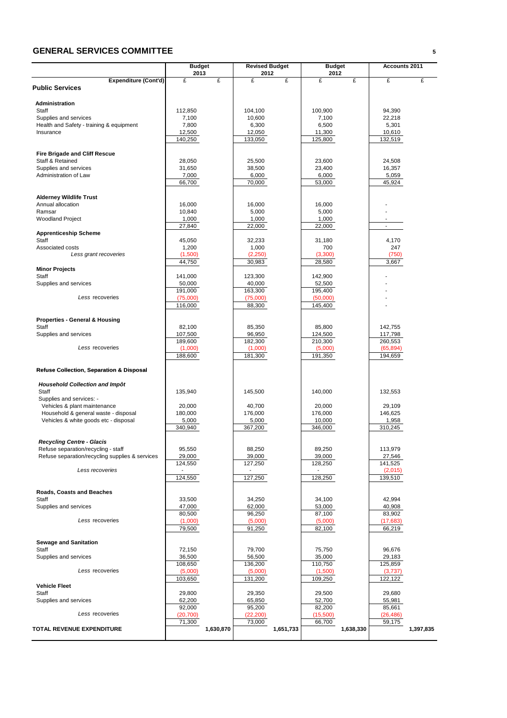### **GENERAL SERVICES COMMITTEE <sup>5</sup>**

|                                                                      | <b>Budget</b><br>2013 |           | <b>Revised Budget</b><br>2012 |           | <b>Budget</b><br>2012 |           | <b>Accounts 2011</b> |           |
|----------------------------------------------------------------------|-----------------------|-----------|-------------------------------|-----------|-----------------------|-----------|----------------------|-----------|
| <b>Expenditure (Cont'd)</b>                                          | £                     | £         | £                             | £         | £                     | £         | £                    | £         |
| <b>Public Services</b>                                               |                       |           |                               |           |                       |           |                      |           |
| <b>Administration</b>                                                |                       |           |                               |           |                       |           |                      |           |
| Staff                                                                | 112,850               |           | 104,100                       |           | 100,900               |           | 94,390               |           |
| Supplies and services                                                | 7,100                 |           | 10,600                        |           | 7,100                 |           | 22,218               |           |
| Health and Safety - training & equipment                             | 7,800                 |           | 6,300                         |           | 6,500                 |           | 5,301                |           |
| Insurance                                                            | 12,500                |           | 12,050                        |           | 11,300                |           | 10,610               |           |
|                                                                      | 140,250               |           | 133,050                       |           | 125,800               |           | 132,519              |           |
|                                                                      |                       |           |                               |           |                       |           |                      |           |
| <b>Fire Brigade and Cliff Rescue</b>                                 |                       |           |                               |           |                       |           |                      |           |
| Staff & Retained                                                     | 28,050                |           | 25,500                        |           | 23,600                |           | 24,508               |           |
| Supplies and services<br>Administration of Law                       | 31,650<br>7,000       |           | 38,500<br>6,000               |           | 23,400<br>6,000       |           | 16,357<br>5,059      |           |
|                                                                      | 66,700                |           | 70,000                        |           | 53,000                |           | 45,924               |           |
|                                                                      |                       |           |                               |           |                       |           |                      |           |
| <b>Alderney Wildlife Trust</b>                                       |                       |           |                               |           |                       |           |                      |           |
| Annual allocation                                                    | 16,000                |           | 16,000                        |           | 16,000                |           |                      |           |
| Ramsar                                                               | 10,840                |           | 5,000                         |           | 5,000                 |           |                      |           |
| <b>Woodland Project</b>                                              | 1,000                 |           | 1,000                         |           | 1,000                 |           |                      |           |
|                                                                      | 27,840                |           | 22,000                        |           | 22,000                |           |                      |           |
| <b>Apprenticeship Scheme</b>                                         |                       |           |                               |           |                       |           |                      |           |
| Staff<br>Associated costs                                            | 45,050                |           | 32,233                        |           | 31,180                |           | 4,170                |           |
| Less grant recoveries                                                | 1,200                 |           | 1,000                         |           | 700                   |           | 247                  |           |
|                                                                      | (1,500)<br>44,750     |           | (2,250)<br>30,983             |           | (3,300)<br>28,580     |           | (750)<br>3,667       |           |
| <b>Minor Projects</b>                                                |                       |           |                               |           |                       |           |                      |           |
| Staff                                                                | 141,000               |           | 123,300                       |           | 142,900               |           |                      |           |
| Supplies and services                                                | 50,000                |           | 40,000                        |           | 52,500                |           |                      |           |
|                                                                      | 191,000               |           | 163,300                       |           | 195,400               |           |                      |           |
| Less recoveries                                                      | (75,000)              |           | (75,000)                      |           | (50,000)              |           |                      |           |
|                                                                      | 116,000               |           | 88,300                        |           | 145,400               |           |                      |           |
|                                                                      |                       |           |                               |           |                       |           |                      |           |
| <b>Properties - General &amp; Housing</b>                            |                       |           |                               |           |                       |           |                      |           |
| Staff                                                                | 82,100                |           | 85,350                        |           | 85,800                |           | 142,755              |           |
| Supplies and services                                                | 107,500<br>189,600    |           | 96,950                        |           | 124,500<br>210,300    |           | 117,798              |           |
| Less recoveries                                                      | (1,000)               |           | 182,300<br>(1,000)            |           | (5,000)               |           | 260,553<br>(65, 894) |           |
|                                                                      | 188,600               |           | 181,300                       |           | 191,350               |           | 194,659              |           |
|                                                                      |                       |           |                               |           |                       |           |                      |           |
| <b>Refuse Collection, Separation &amp; Disposal</b>                  |                       |           |                               |           |                       |           |                      |           |
|                                                                      |                       |           |                               |           |                       |           |                      |           |
| <b>Household Collection and Impôt</b>                                |                       |           |                               |           |                       |           |                      |           |
| Staff                                                                | 135,940               |           | 145,500                       |           | 140,000               |           | 132,553              |           |
| Supplies and services: -                                             | 20.000                |           |                               |           |                       |           |                      |           |
| Vehicles & plant maintenance<br>Household & general waste - disposal | 180,000               |           | 40,700<br>176,000             |           | 20,000<br>176,000     |           | 29,109<br>146,625    |           |
| Vehicles & white goods etc - disposal                                | 5,000                 |           | 5,000                         |           | 10,000                |           | 1,958                |           |
|                                                                      | 340,940               |           | 367,200                       |           | 346,000               |           | 310,245              |           |
|                                                                      |                       |           |                               |           |                       |           |                      |           |
| <b>Recycling Centre - Glacis</b>                                     |                       |           |                               |           |                       |           |                      |           |
| Refuse separation/recycling - staff                                  | 95,550                |           | 88,250                        |           | 89,250                |           | 113,979              |           |
| Refuse separation/recycling supplies & services                      | 29,000                |           | 39,000                        |           | 39,000                |           | 27,546               |           |
|                                                                      | 124,550               |           | 127,250                       |           | 128,250               |           | 141,525              |           |
| Less recoveries                                                      |                       |           |                               |           |                       |           | (2,015)              |           |
|                                                                      | 124,550               |           | 127,250                       |           | 128,250               |           | 139,510              |           |
| <b>Roads, Coasts and Beaches</b>                                     |                       |           |                               |           |                       |           |                      |           |
| Staff                                                                | 33,500                |           | 34,250                        |           | 34,100                |           | 42,994               |           |
| Supplies and services                                                | 47,000                |           | 62,000                        |           | 53,000                |           | 40,908               |           |
|                                                                      | 80,500                |           | 96,250                        |           | 87,100                |           | 83,902               |           |
| Less recoveries                                                      | (1,000)               |           | (5,000)                       |           | (5,000)               |           | (17, 683)            |           |
|                                                                      | 79,500                |           | 91,250                        |           | 82,100                |           | 66,219               |           |
|                                                                      |                       |           |                               |           |                       |           |                      |           |
| <b>Sewage and Sanitation</b><br>Staff                                | 72,150                |           |                               |           | 75,750                |           | 96,676               |           |
| Supplies and services                                                |                       |           | 79,700<br>56,500              |           | 35,000                |           |                      |           |
|                                                                      | 36,500<br>108,650     |           | 136,200                       |           | 110,750               |           | 29,183<br>125,859    |           |
| Less recoveries                                                      | (5,000)               |           | (5,000)                       |           | (1,500)               |           | (3,737)              |           |
|                                                                      | 103,650               |           | 131,200                       |           | 109,250               |           | 122,122              |           |
| <b>Vehicle Fleet</b>                                                 |                       |           |                               |           |                       |           |                      |           |
| Staff                                                                | 29,800                |           | 29,350                        |           | 29,500                |           | 29,680               |           |
| Supplies and services                                                | 62,200                |           | 65,850                        |           | 52,700                |           | 55,981               |           |
| Less recoveries                                                      | 92,000                |           | 95,200                        |           | 82,200                |           | 85,661               |           |
|                                                                      | (20, 700)<br>71,300   |           | (22, 200)<br>73,000           |           | (15,500)<br>66,700    |           | (26, 486)<br>59,175  |           |
| TOTAL REVENUE EXPENDITURE                                            |                       | 1,630,870 |                               | 1,651,733 |                       | 1,638,330 |                      | 1,397,835 |
|                                                                      |                       |           |                               |           |                       |           |                      |           |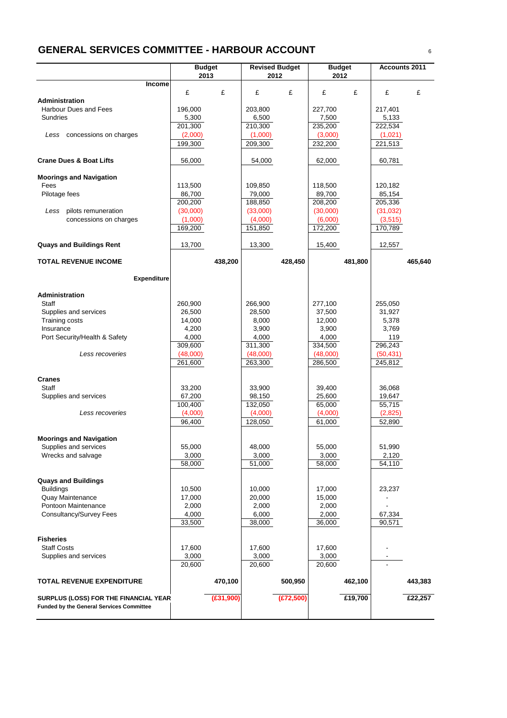# **GENERAL SERVICES COMMITTEE - HARBOUR ACCOUNT** <sup>6</sup>

|                                                 | <b>Budget</b>       |           | <b>Revised Budget</b> |            | <b>Budget</b>       |         | <b>Accounts 2011</b> |         |
|-------------------------------------------------|---------------------|-----------|-----------------------|------------|---------------------|---------|----------------------|---------|
|                                                 | 2013                |           | 2012                  |            | 2012                |         |                      |         |
| Income                                          | £                   | £         | £                     | £          | £                   | £       | £                    | £       |
| Administration                                  |                     |           |                       |            |                     |         |                      |         |
| Harbour Dues and Fees                           | 196,000             |           | 203.800               |            | 227,700             |         | 217,401              |         |
| Sundries                                        | 5,300               |           | 6,500                 |            | 7,500               |         | 5,133                |         |
|                                                 | 201,300             |           | 210,300               |            | 235,200             |         | 222,534              |         |
| Less concessions on charges                     | (2,000)             |           | (1,000)               |            | (3,000)             |         | (1,021)              |         |
|                                                 | 199,300             |           | 209,300               |            | 232,200             |         | 221,513              |         |
| <b>Crane Dues &amp; Boat Lifts</b>              | 56,000              |           | 54,000                |            | 62,000              |         | 60,781               |         |
| <b>Moorings and Navigation</b>                  |                     |           |                       |            |                     |         |                      |         |
| Fees                                            | 113,500             |           | 109,850               |            | 118,500             |         | 120,182              |         |
| Pilotage fees                                   | 86,700<br>200,200   |           | 79,000<br>188,850     |            | 89,700<br>208,200   |         | 85,154<br>205,336    |         |
| pilots remuneration<br>Less                     | (30,000)            |           | (33,000)              |            | (30,000)            |         | (31,032)             |         |
| concessions on charges                          | (1,000)             |           | (4,000)               |            | (6,000)             |         | (3, 515)             |         |
|                                                 | 169,200             |           | 151,850               |            | 172,200             |         | 170,789              |         |
| <b>Quays and Buildings Rent</b>                 | 13,700              |           | 13,300                |            | 15,400              |         | 12,557               |         |
| <b>TOTAL REVENUE INCOME</b>                     |                     | 438,200   |                       | 428,450    |                     | 481,800 |                      | 465,640 |
| <b>Expenditure</b>                              |                     |           |                       |            |                     |         |                      |         |
| Administration                                  |                     |           |                       |            |                     |         |                      |         |
| Staff                                           | 260,900             |           | 266,900               |            | 277,100             |         | 255,050              |         |
| Supplies and services                           | 26,500              |           | 28,500                |            | 37,500              |         | 31,927               |         |
| <b>Training costs</b>                           | 14,000              |           | 8,000                 |            | 12,000              |         | 5,378                |         |
| Insurance                                       | 4,200               |           | 3,900                 |            | 3,900               |         | 3,769                |         |
| Port Security/Health & Safety                   | 4,000               |           | 4,000                 |            | 4,000               |         | 119                  |         |
| Less recoveries                                 | 309,600<br>(48,000) |           | 311,300<br>(48,000)   |            | 334,500<br>(48,000) |         | 296,243<br>(50, 431) |         |
|                                                 | 261,600             |           | 263,300               |            | 286,500             |         | 245,812              |         |
| <b>Cranes</b>                                   |                     |           |                       |            |                     |         |                      |         |
| Staff                                           | 33,200              |           | 33,900                |            | 39,400              |         | 36,068               |         |
| Supplies and services                           | 67,200              |           | 98,150                |            | 25,600              |         | 19,647               |         |
|                                                 | 100,400             |           | 132,050               |            | 65,000              |         | 55,715               |         |
| Less recoveries                                 | (4,000)             |           | (4,000)               |            | (4,000)             |         | (2,825)              |         |
|                                                 | 96,400              |           | 128,050               |            | 61,000              |         | 52,890               |         |
| <b>Moorings and Navigation</b>                  |                     |           |                       |            |                     |         |                      |         |
| Supplies and services                           | 55,000              |           | 48,000                |            | 55,000              |         | 51,990               |         |
| Wrecks and salvage                              | 3,000               |           | 3,000                 |            | 3,000               |         | 2,120                |         |
|                                                 | 58,000              |           | 51,000                |            | 58,000              |         | 54,110               |         |
| <b>Quays and Buildings</b>                      |                     |           |                       |            |                     |         |                      |         |
| <b>Buildings</b>                                | 10,500              |           | 10,000                |            | 17,000              |         | 23,237               |         |
| Quay Maintenance                                | 17,000              |           | 20,000                |            | 15,000              |         |                      |         |
| Pontoon Maintenance                             | 2,000               |           | 2,000                 |            | 2,000               |         |                      |         |
| Consultancy/Survey Fees                         | 4,000<br>33,500     |           | 6,000<br>38,000       |            | 2,000<br>36,000     |         | 67,334<br>90,571     |         |
|                                                 |                     |           |                       |            |                     |         |                      |         |
| <b>Fisheries</b>                                |                     |           |                       |            |                     |         |                      |         |
| <b>Staff Costs</b>                              | 17,600              |           | 17,600                |            | 17,600              |         |                      |         |
| Supplies and services                           | 3,000               |           | 3,000                 |            | 3,000               |         |                      |         |
|                                                 | 20,600              |           | 20,600                |            | 20,600              |         |                      |         |
| <b>TOTAL REVENUE EXPENDITURE</b>                |                     | 470,100   |                       | 500,950    |                     | 462,100 |                      | 443,383 |
| SURPLUS (LOSS) FOR THE FINANCIAL YEAR           |                     | (E31,900) |                       | (E72, 500) |                     | £19,700 |                      | £22,257 |
| <b>Funded by the General Services Committee</b> |                     |           |                       |            |                     |         |                      |         |
|                                                 |                     |           |                       |            |                     |         |                      |         |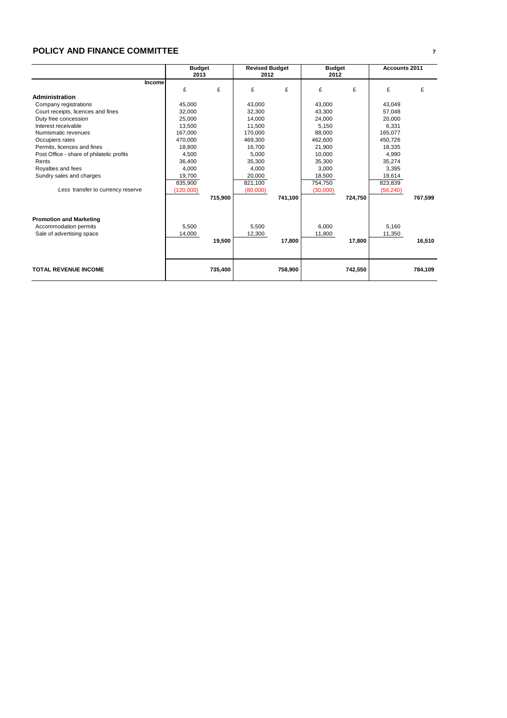### **POLICY AND FINANCE COMMITTEE <sup>7</sup>**

|                                           | <b>Budget</b><br>2013 |         | <b>Revised Budget</b><br>2012 |         | <b>Budget</b><br>2012 |         | <b>Accounts 2011</b> |         |
|-------------------------------------------|-----------------------|---------|-------------------------------|---------|-----------------------|---------|----------------------|---------|
| <b>Income</b>                             | £                     | £       | £                             | £       | £                     | £       | £                    | £       |
| Administration                            |                       |         |                               |         |                       |         |                      |         |
| Company registrations                     | 45,000                |         | 43,000                        |         | 43,000                |         | 43,049               |         |
| Court receipts, licences and fines        | 32,000                |         | 32,300                        |         | 43,300                |         | 57,048               |         |
| Duty free concession                      | 25,000                |         | 14,000                        |         | 24,000                |         | 20,000               |         |
| Interest receivable                       | 13.500                |         | 11.500                        |         | 5.150                 |         | 6,331                |         |
| Numismatic revenues                       | 167,000               |         | 170,000                       |         | 88,000                |         | 165,077              |         |
| Occupiers rates                           | 470.000               |         | 469.300                       |         | 462.600               |         | 450.726              |         |
| Permits, licences and fines               | 18.800                |         | 16.700                        |         | 21.900                |         | 18.335               |         |
| Post Office - share of philatelic profits | 4,500                 |         | 5,000                         |         | 10,000                |         | 4,990                |         |
| Rents                                     | 36.400                |         | 35,300                        |         | 35.300                |         | 35,274               |         |
| Royalties and fees                        | 4,000                 |         | 4,000                         |         | 3,000                 |         | 3,395                |         |
| Sundry sales and charges                  | 19,700                |         | 20,000                        |         | 18,500                |         | 19,614               |         |
|                                           | 835,900               |         | 821,100                       |         | 754,750               |         | 823,839              |         |
| Less transfer to currency reserve         | (120,000)             |         | (80,000)                      |         | (30,000)              |         | (56, 240)            |         |
|                                           |                       | 715,900 |                               | 741,100 |                       | 724,750 |                      | 767,599 |
| <b>Promotion and Marketing</b>            |                       |         |                               |         |                       |         |                      |         |
| Accommodation permits                     | 5,500                 |         | 5.500                         |         | 6.000                 |         | 5,160                |         |
| Sale of advertising space                 | 14,000                |         | 12,300                        |         | 11,800                |         | 11,350               |         |
|                                           |                       | 19,500  |                               | 17,800  |                       | 17,800  |                      | 16.510  |
|                                           |                       |         |                               |         |                       |         |                      |         |
| <b>TOTAL REVENUE INCOME</b>               |                       | 735,400 |                               | 758,900 |                       | 742,550 |                      | 784,109 |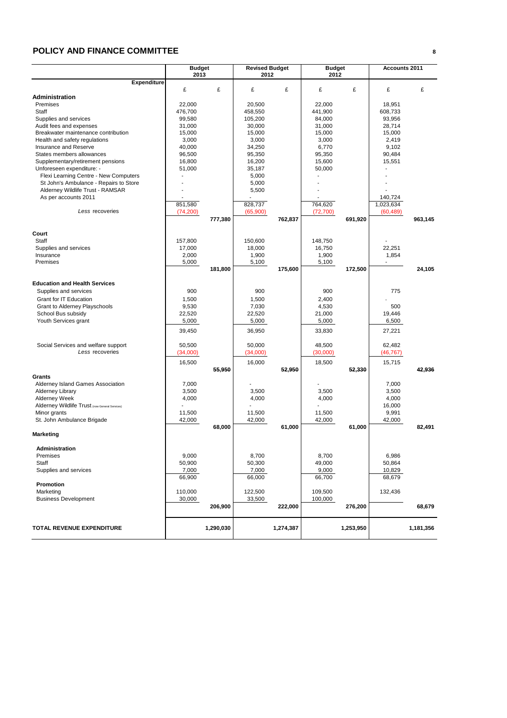### **POLICY AND FINANCE COMMITTEE <sup>8</sup>**

|                                                                                 | <b>Budget</b>            |           | <b>Revised Budget</b> |           | <b>Budget</b>            |           | Accounts 2011   |           |
|---------------------------------------------------------------------------------|--------------------------|-----------|-----------------------|-----------|--------------------------|-----------|-----------------|-----------|
|                                                                                 | 2013                     |           | 2012                  |           | 2012                     |           |                 |           |
| <b>Expenditure</b>                                                              |                          |           |                       |           |                          |           |                 |           |
| Administration                                                                  | £                        | £         | £                     | £         | £                        | £         | £               | £         |
| Premises                                                                        | 22,000                   |           | 20,500                |           | 22,000                   |           | 18,951          |           |
| Staff                                                                           | 476,700                  |           | 458,550               |           | 441,900                  |           | 608,733         |           |
| Supplies and services                                                           | 99,580                   |           | 105,200               |           | 84,000                   |           | 93,956          |           |
| Audit fees and expenses                                                         | 31,000                   |           | 30,000                |           | 31,000                   |           | 28,714          |           |
| Breakwater maintenance contribution                                             | 15,000                   |           | 15,000                |           | 15,000                   |           | 15,000          |           |
| Health and safety regulations                                                   | 3,000                    |           | 3,000                 |           | 3,000                    |           | 2,419           |           |
| Insurance and Reserve                                                           | 40,000                   |           | 34,250                |           | 6,770                    |           | 9,102           |           |
| States members allowances                                                       | 96,500                   |           | 95,350                |           | 95,350                   |           | 90,484          |           |
| Supplementary/retirement pensions                                               | 16,800                   |           | 16,200                |           | 15,600                   |           | 15,551          |           |
| Unforeseen expenditure: -                                                       | 51,000<br>$\overline{a}$ |           | 35,187                |           | 50,000<br>$\overline{a}$ |           | $\overline{a}$  |           |
| Flexi Learning Centre - New Computers<br>St John's Ambulance - Repairs to Store |                          |           | 5,000<br>5,000        |           |                          |           |                 |           |
| Alderney Wildlife Trust - RAMSAR                                                |                          |           | 5,500                 |           |                          |           |                 |           |
| As per accounts 2011                                                            |                          |           |                       |           |                          |           | 140,724         |           |
|                                                                                 | 851,580                  |           | 828,737               |           | 764,620                  |           | 1,023,634       |           |
| Less recoveries                                                                 | (74, 200)                |           | (65,900)              |           | (72, 700)                |           | (60, 489)       |           |
|                                                                                 |                          | 777,380   |                       | 762,837   |                          | 691,920   |                 | 963,145   |
|                                                                                 |                          |           |                       |           |                          |           |                 |           |
| Court                                                                           |                          |           |                       |           |                          |           |                 |           |
| Staff                                                                           | 157,800                  |           | 150,600               |           | 148,750                  |           |                 |           |
| Supplies and services                                                           | 17,000                   |           | 18,000                |           | 16,750                   |           | 22,251          |           |
| Insurance<br>Premises                                                           | 2,000<br>5,000           |           | 1,900                 |           | 1,900                    |           | 1,854           |           |
|                                                                                 |                          | 181,800   | 5,100                 | 175,600   | 5,100                    | 172,500   |                 | 24,105    |
|                                                                                 |                          |           |                       |           |                          |           |                 |           |
| <b>Education and Health Services</b>                                            |                          |           |                       |           |                          |           |                 |           |
| Supplies and services                                                           | 900                      |           | 900                   |           | 900                      |           | 775             |           |
| <b>Grant for IT Education</b>                                                   | 1,500                    |           | 1,500                 |           | 2,400                    |           |                 |           |
| Grant to Alderney Playschools                                                   | 9,530                    |           | 7,030                 |           | 4,530                    |           | 500             |           |
| School Bus subsidy                                                              | 22,520                   |           | 22,520                |           | 21,000                   |           | 19,446          |           |
| Youth Services grant                                                            | 5,000                    |           | 5,000                 |           | 5,000                    |           | 6,500           |           |
|                                                                                 | 39,450                   |           | 36,950                |           | 33,830                   |           | 27,221          |           |
| Social Services and welfare support                                             | 50,500                   |           | 50,000                |           | 48,500                   |           | 62,482          |           |
| Less recoveries                                                                 | (34,000)                 |           | (34,000)              |           | (30,000)                 |           | (46, 767)       |           |
|                                                                                 | 16,500                   |           | 16,000                |           | 18,500                   |           | 15,715          |           |
|                                                                                 |                          | 55,950    |                       | 52,950    |                          | 52,330    |                 | 42,936    |
| Grants                                                                          |                          |           |                       |           |                          |           |                 |           |
| Alderney Island Games Association                                               | 7,000                    |           |                       |           |                          |           | 7,000           |           |
| Alderney Library                                                                | 3,500                    |           | 3,500                 |           | 3,500                    |           | 3,500           |           |
| Alderney Week                                                                   | 4,000                    |           | 4,000                 |           | 4,000                    |           | 4,000           |           |
| Alderney Wildlife Trust (now General Services)                                  |                          |           |                       |           |                          |           | 16,000          |           |
| Minor grants<br>St. John Ambulance Brigade                                      | 11,500                   |           | 11,500                |           | 11,500                   |           | 9,991<br>42,000 |           |
|                                                                                 | 42,000                   | 68,000    | 42,000                | 61,000    | 42,000                   | 61,000    |                 | 82.491    |
| Marketing                                                                       |                          |           |                       |           |                          |           |                 |           |
|                                                                                 |                          |           |                       |           |                          |           |                 |           |
| Administration<br>Premises                                                      |                          |           |                       |           |                          |           |                 |           |
| Staff                                                                           | 9,000<br>50,900          |           | 8,700<br>50,300       |           | 8,700<br>49,000          |           | 6,986<br>50,864 |           |
| Supplies and services                                                           | 7,000                    |           | 7,000                 |           | 9,000                    |           | 10,829          |           |
|                                                                                 | 66,900                   |           | 66,000                |           | 66,700                   |           | 68,679          |           |
| Promotion                                                                       |                          |           |                       |           |                          |           |                 |           |
| Marketing                                                                       | 110,000                  |           | 122,500               |           | 109,500                  |           | 132,436         |           |
| <b>Business Development</b>                                                     | 30,000                   |           | 33,500                |           | 100,000                  |           |                 |           |
|                                                                                 |                          | 206,900   |                       | 222,000   |                          | 276,200   |                 | 68,679    |
| TOTAL REVENUE EXPENDITURE                                                       |                          | 1,290,030 |                       | 1,274,387 |                          | 1,253,950 |                 | 1,181,356 |
|                                                                                 |                          |           |                       |           |                          |           |                 |           |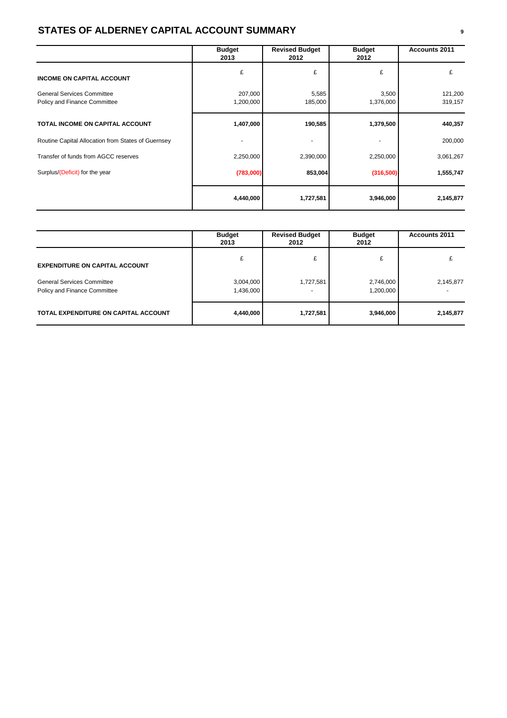# **STATES OF ALDERNEY CAPITAL ACCOUNT SUMMARY <sup>9</sup>**

|                                                                   | <b>Budget</b><br>2013 | <b>Revised Budget</b><br>2012 | <b>Budget</b><br>2012 | <b>Accounts 2011</b> |
|-------------------------------------------------------------------|-----------------------|-------------------------------|-----------------------|----------------------|
| <b>INCOME ON CAPITAL ACCOUNT</b>                                  | £                     | £                             | £                     | £                    |
| <b>General Services Committee</b><br>Policy and Finance Committee | 207,000<br>1,200,000  | 5,585<br>185,000              | 3,500<br>1,376,000    | 121,200<br>319,157   |
| TOTAL INCOME ON CAPITAL ACCOUNT                                   | 1,407,000             | 190,585                       | 1,379,500             | 440,357              |
| Routine Capital Allocation from States of Guernsey                |                       |                               |                       | 200,000              |
| Transfer of funds from AGCC reserves                              | 2,250,000             | 2,390,000                     | 2,250,000             | 3,061,267            |
| Surplus/(Deficit) for the year                                    | (783,000)             | 853,004                       | (316,500)             | 1,555,747            |
|                                                                   | 4,440,000             | 1,727,581                     | 3,946,000             | 2,145,877            |

|                                                                   | <b>Budget</b><br>2013  | <b>Revised Budget</b><br>2012 | <b>Budget</b><br>2012  | <b>Accounts 2011</b> |
|-------------------------------------------------------------------|------------------------|-------------------------------|------------------------|----------------------|
| <b>EXPENDITURE ON CAPITAL ACCOUNT</b>                             |                        | £                             | £                      |                      |
| <b>General Services Committee</b><br>Policy and Finance Committee | 3,004,000<br>1,436,000 | 1,727,581                     | 2,746,000<br>1,200,000 | 2,145,877            |
| TOTAL EXPENDITURE ON CAPITAL ACCOUNT                              | 4,440,000              | 1,727,581                     | 3,946,000              | 2,145,877            |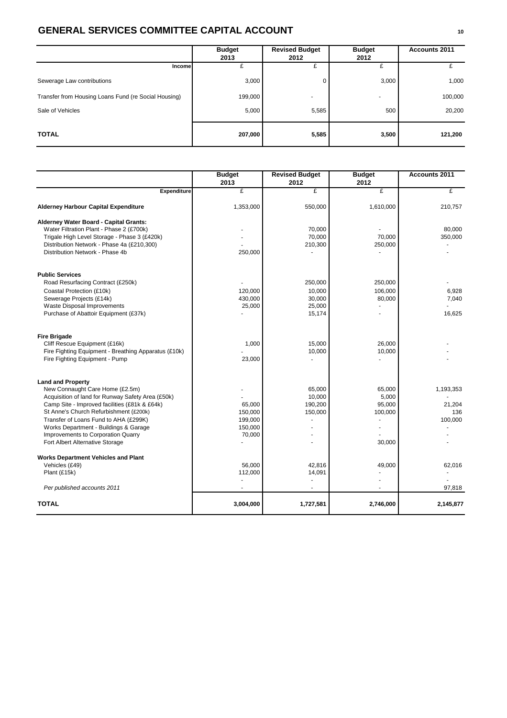# **GENERAL SERVICES COMMITTEE CAPITAL ACCOUNT <sup>10</sup>**

|                                                      | <b>Budget</b><br>2013 | <b>Revised Budget</b><br>2012 | <b>Budget</b><br>2012    | <b>Accounts 2011</b> |  |
|------------------------------------------------------|-----------------------|-------------------------------|--------------------------|----------------------|--|
| Income                                               | £                     | £                             | £                        |                      |  |
| Sewerage Law contributions                           | 3,000                 | 0                             | 3,000                    | 1,000                |  |
| Transfer from Housing Loans Fund (re Social Housing) | 199,000               |                               | $\overline{\phantom{a}}$ | 100,000              |  |
| Sale of Vehicles                                     | 5,000                 | 5,585                         | 500                      | 20,200               |  |
| <b>TOTAL</b>                                         | 207,000               | 5,585                         | 3,500                    | 121,200              |  |

|                                                      | <b>Budget</b><br>2013 | <b>Revised Budget</b><br>2012 | <b>Budget</b><br>2012 | Accounts 2011 |
|------------------------------------------------------|-----------------------|-------------------------------|-----------------------|---------------|
| Expenditure                                          | £                     | £                             | £                     | £             |
| <b>Alderney Harbour Capital Expenditure</b>          | 1,353,000             | 550,000                       | 1,610,000             | 210,757       |
| Alderney Water Board - Capital Grants:               |                       |                               |                       |               |
| Water Filtration Plant - Phase 2 (£700k)             |                       | 70,000                        |                       | 80,000        |
| Trigale High Level Storage - Phase 3 (£420k)         |                       | 70,000                        | 70,000                | 350,000       |
| Distribution Network - Phase 4a (£210,300)           |                       | 210,300                       | 250,000               |               |
| Distribution Network - Phase 4b                      | 250,000               |                               |                       |               |
| <b>Public Services</b>                               |                       |                               |                       |               |
| Road Resurfacing Contract (£250k)                    |                       | 250,000                       | 250,000               |               |
| Coastal Protection (£10k)                            | 120,000               | 10,000                        | 106,000               | 6,928         |
| Sewerage Projects (£14k)                             | 430,000               | 30,000                        | 80,000                | 7,040         |
| Waste Disposal Improvements                          | 25,000                | 25,000                        |                       |               |
| Purchase of Abattoir Equipment (£37k)                |                       | 15,174                        |                       | 16,625        |
| <b>Fire Brigade</b>                                  |                       |                               |                       |               |
| Cliff Rescue Equipment (£16k)                        | 1,000                 | 15.000                        | 26,000                |               |
| Fire Fighting Equipment - Breathing Apparatus (£10k) |                       | 10,000                        | 10,000                |               |
| Fire Fighting Equipment - Pump                       | 23,000                |                               |                       |               |
| <b>Land and Property</b>                             |                       |                               |                       |               |
| New Connaught Care Home (£2.5m)                      |                       | 65.000                        | 65,000                | 1,193,353     |
| Acquisition of land for Runway Safety Area (£50k)    |                       | 10,000                        | 5,000                 |               |
| Camp Site - Improved facilities (£81k & £64k)        | 65,000                | 190,200                       | 95,000                | 21,204        |
| St Anne's Church Refurbishment (£200k)               | 150,000               | 150,000                       | 100,000               | 136           |
| Transfer of Loans Fund to AHA (£299K)                | 199,000               |                               |                       | 100,000       |
| Works Department - Buildings & Garage                | 150,000               |                               |                       |               |
| Improvements to Corporation Quarry                   | 70,000                |                               |                       |               |
| Fort Albert Alternative Storage                      |                       |                               | 30,000                |               |
| <b>Works Department Vehicles and Plant</b>           |                       |                               |                       |               |
| Vehicles (£49)                                       | 56,000                | 42,816                        | 49,000                | 62,016        |
| Plant (£15k)                                         | 112,000               | 14,091                        |                       |               |
| Per published accounts 2011                          |                       |                               |                       | 97,818        |
| <b>TOTAL</b>                                         | 3,004,000             | 1,727,581                     | 2,746,000             | 2,145,877     |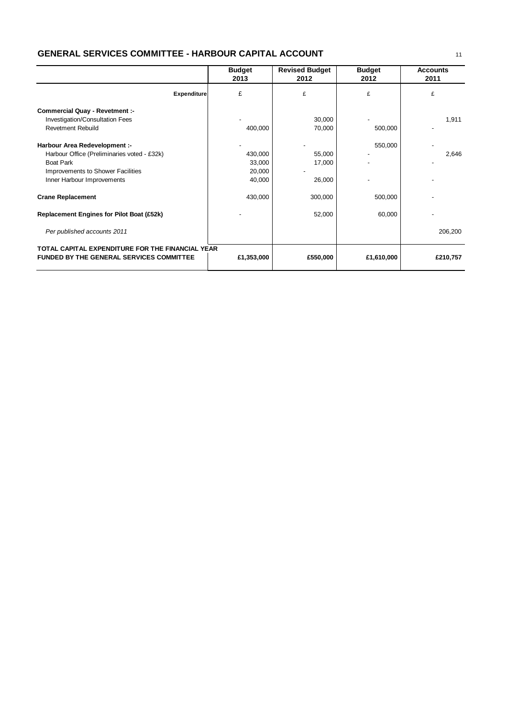# **GENERAL SERVICES COMMITTEE - HARBOUR CAPITAL ACCOUNT**

|                                                                                                                                                                     | <b>Budget</b><br>2013                 | <b>Revised Budget</b><br><b>Budget</b><br>2012<br>2012 |            | <b>Accounts</b><br>2011 |
|---------------------------------------------------------------------------------------------------------------------------------------------------------------------|---------------------------------------|--------------------------------------------------------|------------|-------------------------|
| <b>Expenditure</b>                                                                                                                                                  | £                                     | £                                                      | £          | £                       |
| <b>Commercial Quay - Revetment :-</b><br>Investigation/Consultation Fees<br><b>Revetment Rebuild</b>                                                                | 400,000                               | 30,000<br>70,000                                       | 500,000    | 1,911                   |
| Harbour Area Redevelopment :-<br>Harbour Office (Preliminaries voted - £32k)<br><b>Boat Park</b><br>Improvements to Shower Facilities<br>Inner Harbour Improvements | 430,000<br>33,000<br>20,000<br>40,000 | 55,000<br>17,000<br>26,000                             | 550,000    | 2,646                   |
| <b>Crane Replacement</b>                                                                                                                                            | 430,000                               | 300,000                                                | 500,000    |                         |
| <b>Replacement Engines for Pilot Boat (£52k)</b>                                                                                                                    |                                       | 52,000                                                 | 60,000     |                         |
| Per published accounts 2011                                                                                                                                         |                                       |                                                        |            | 206,200                 |
| TOTAL CAPITAL EXPENDITURE FOR THE FINANCIAL YEAR<br><b>FUNDED BY THE GENERAL SERVICES COMMITTEE</b>                                                                 | £1,353,000                            | £550,000                                               | £1,610,000 | £210,757                |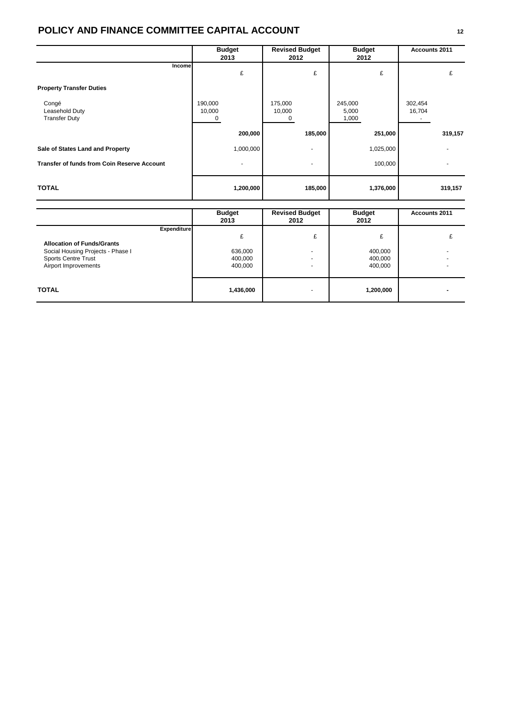# **POLICY AND FINANCE COMMITTEE CAPITAL ACCOUNT <sup>12</sup>**

|                                                    | <b>Budget</b><br>2013  | <b>Revised Budget</b><br>2012 | <b>Budget</b><br>2012     | Accounts 2011     |
|----------------------------------------------------|------------------------|-------------------------------|---------------------------|-------------------|
| Income                                             | £                      | £                             | £                         | £                 |
| <b>Property Transfer Duties</b>                    |                        |                               |                           |                   |
| Congé<br>Leasehold Duty<br><b>Transfer Duty</b>    | 190,000<br>10,000<br>0 | 175,000<br>10,000<br>0        | 245,000<br>5,000<br>1,000 | 302,454<br>16,704 |
|                                                    | 200,000                | 185,000                       | 251,000                   | 319,157           |
| Sale of States Land and Property                   | 1,000,000              | ٠                             | 1,025,000                 |                   |
| <b>Transfer of funds from Coin Reserve Account</b> |                        |                               | 100,000                   |                   |
| <b>TOTAL</b>                                       | 1,200,000              | 185,000                       | 1,376,000                 | 319,157           |

|                                                                                                                                                    | <b>Budget</b><br>2013         | <b>Revised Budget</b><br>2012      | <b>Budget</b><br>2012              | Accounts 2011 |
|----------------------------------------------------------------------------------------------------------------------------------------------------|-------------------------------|------------------------------------|------------------------------------|---------------|
| <b>Expenditure</b><br><b>Allocation of Funds/Grants</b><br>Social Housing Projects - Phase I<br><b>Sports Centre Trust</b><br>Airport Improvements | 636,000<br>400,000<br>400,000 | £<br>٠<br>$\overline{\phantom{0}}$ | £<br>400,000<br>400,000<br>400,000 |               |
| <b>TOTAL</b>                                                                                                                                       | 1,436,000                     | $\overline{\phantom{0}}$           | 1,200,000                          |               |